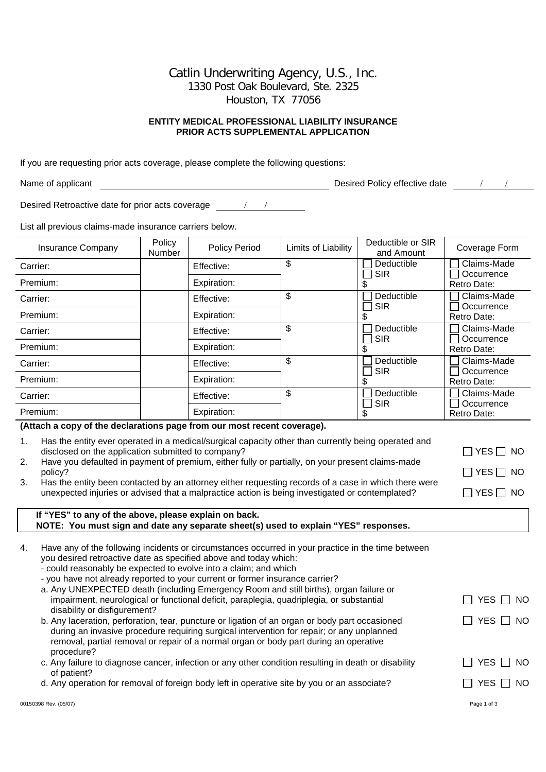Catlin Underwriting Agency, U.S., Inc. 1330 Post Oak Boulevard, Ste. 2325 Houston, TX 77056

## **ENTITY MEDICAL PROFESSIONAL LIABILITY INSURANCE PRIOR ACTS SUPPLEMENTAL APPLICATION**

If you are requesting prior acts coverage, please complete the following questions:

Name of applicant and the contract of the Desired Policy effective date and the contract of the contract of the Desired Policy effective date and the contract of the contract of the contract of the contract of the contract

Desired Retroactive date for prior acts coverage \_\_\_\_\_\_\_\_\_\_\_\_\_\_\_\_\_\_\_\_\_\_\_\_\_\_\_\_\_\_\_

List all previous claims-made insurance carriers below.

| <b>Insurance Company</b>                                                 | Policy<br><b>Number</b> | <b>Policy Period</b> | Limits of Liability | Deductible or SIR<br>and Amount | Coverage Form             |
|--------------------------------------------------------------------------|-------------------------|----------------------|---------------------|---------------------------------|---------------------------|
| Carrier:                                                                 |                         | Effective:           | \$                  | Deductible                      | Claims-Made               |
| Premium:                                                                 |                         | Expiration:          |                     | <b>SIR</b>                      | Occurrence<br>Retro Date: |
| Carrier:                                                                 |                         | Effective:           | \$                  | Deductible                      | Claims-Made               |
| Premium:                                                                 |                         | Expiration:          |                     | <b>SIR</b>                      | Occurrence<br>Retro Date: |
| Carrier:                                                                 |                         | Effective:           | \$                  | Deductible                      | Claims-Made               |
| Premium:                                                                 |                         | Expiration:          |                     | <b>SIR</b>                      | Occurrence<br>Retro Date: |
| Carrier:                                                                 |                         | Effective:           | \$                  | Deductible                      | Claims-Made               |
| Premium:                                                                 |                         | Expiration:          |                     | <b>SIR</b>                      | Occurrence<br>Retro Date: |
| Carrier:                                                                 |                         | Effective:           | \$                  | Deductible                      | Claims-Made               |
| Premium:                                                                 |                         | Expiration:          |                     | <b>SIR</b>                      | Occurrence<br>Retro Date: |
| (Attach a contract the declarations none from our meet recent consequent |                         |                      |                     |                                 |                           |

## **(Attach a copy of the declarations page from our most recent coverage).**

| Has the entity ever operated in a medical/surgical capacity other than currently being operated and |                      |
|-----------------------------------------------------------------------------------------------------|----------------------|
| disclosed on the application submitted to company?                                                  | $\Box$ YES $\Box$ NO |
| $\Box$                                                                                              |                      |

2. Have you defaulted in payment of premium, either fully or partially, on your present claims-made policy? <br>  $\Box$  YES  $\Box$  NO

3. Has the entity been contacted by an attorney either requesting records of a case in which there were unexpected injuries or advised that a malpractice action is being investigated or contemplated?  $\Box$  YES  $\Box$  NO

| If "YES" to any of the above, please explain on back.                               |  |
|-------------------------------------------------------------------------------------|--|
| NOTE: You must sign and date any separate sheet(s) used to explain "YES" responses. |  |

| 4. | Have any of the following incidents or circumstances occurred in your practice in the time between<br>you desired retroactive date as specified above and today which:<br>- could reasonably be expected to evolve into a claim; and which<br>- you have not already reported to your current or former insurance carrier?<br>a. Any UNEXPECTED death (including Emergency Room and still births), organ failure or<br>impairment, neurological or functional deficit, paraplegia, quadriplegia, or substantial<br>disability or disfigurement?<br>b. Any laceration, perforation, tear, puncture or ligation of an organ or body part occasioned<br>during an invasive procedure requiring surgical intervention for repair; or any unplanned<br>removal, partial removal or repair of a normal organ or body part during an operative | YES.<br>⊟ NO<br>YES.<br>- NO |
|----|-----------------------------------------------------------------------------------------------------------------------------------------------------------------------------------------------------------------------------------------------------------------------------------------------------------------------------------------------------------------------------------------------------------------------------------------------------------------------------------------------------------------------------------------------------------------------------------------------------------------------------------------------------------------------------------------------------------------------------------------------------------------------------------------------------------------------------------------|------------------------------|
|    | procedure?<br>c. Any failure to diagnose cancer, infection or any other condition resulting in death or disability                                                                                                                                                                                                                                                                                                                                                                                                                                                                                                                                                                                                                                                                                                                      | YES.<br>- NO                 |
|    | of patient?<br>d. Any operation for removal of foreign body left in operative site by you or an associate?                                                                                                                                                                                                                                                                                                                                                                                                                                                                                                                                                                                                                                                                                                                              | NO.<br>YES                   |
|    | 00150398 Rev. (05/07)                                                                                                                                                                                                                                                                                                                                                                                                                                                                                                                                                                                                                                                                                                                                                                                                                   | Page 1 of 3                  |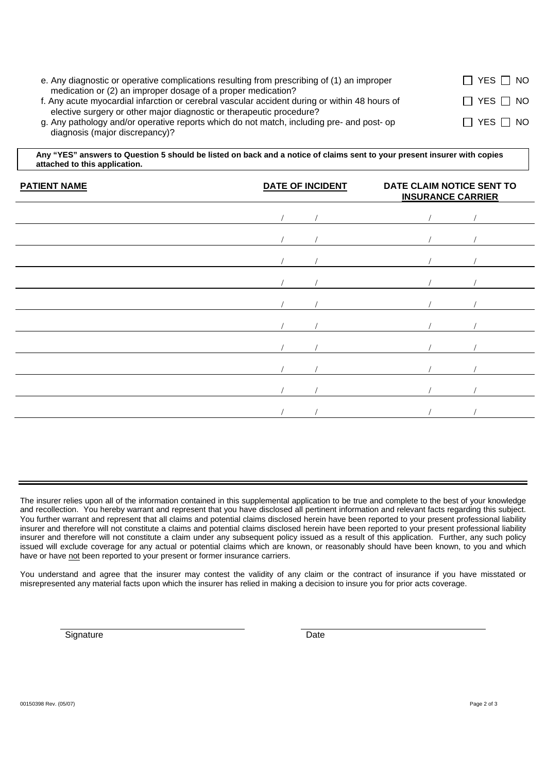| e. Any diagnostic or operative complications resulting from prescribing of (1) an improper                                                                        | $\Box$ YES $\Box$ NO |
|-------------------------------------------------------------------------------------------------------------------------------------------------------------------|----------------------|
| medication or (2) an improper dosage of a proper medication?<br>f. Any acute myocardial infarction or cerebral vascular accident during or within 48 hours of     | $\Box$ YES $\Box$ NO |
| elective surgery or other major diagnostic or therapeutic procedure?<br>g. Any pathology and/or operative reports which do not match, including pre- and post- op | $\Box$ YES $\Box$ NO |
| diagnosis (major discrepancy)?                                                                                                                                    |                      |

 **Any "YES" answers to Question 5 should be listed on back and a notice of claims sent to your present insurer with copies attached to this application.** 

| <b>PATIENT NAME</b> | <b>DATE OF INCIDENT</b> |  | DATE CLAIM NOTICE SENT TO<br><b>INSURANCE CARRIER</b> |  |
|---------------------|-------------------------|--|-------------------------------------------------------|--|
|                     |                         |  |                                                       |  |
|                     |                         |  |                                                       |  |
|                     |                         |  |                                                       |  |
|                     |                         |  |                                                       |  |
|                     |                         |  |                                                       |  |
|                     |                         |  |                                                       |  |
|                     |                         |  |                                                       |  |
|                     |                         |  |                                                       |  |
|                     |                         |  |                                                       |  |
|                     |                         |  |                                                       |  |

The insurer relies upon all of the information contained in this supplemental application to be true and complete to the best of your knowledge and recollection. You hereby warrant and represent that you have disclosed all pertinent information and relevant facts regarding this subject. You further warrant and represent that all claims and potential claims disclosed herein have been reported to your present professional liability insurer and therefore will not constitute a claims and potential claims disclosed herein have been reported to your present professional liability insurer and therefore will not constitute a claim under any subsequent policy issued as a result of this application. Further, any such policy issued will exclude coverage for any actual or potential claims which are known, or reasonably should have been known, to you and which have or have not been reported to your present or former insurance carriers.

You understand and agree that the insurer may contest the validity of any claim or the contract of insurance if you have misstated or misrepresented any material facts upon which the insurer has relied in making a decision to insure you for prior acts coverage.

Signature Date Date Date